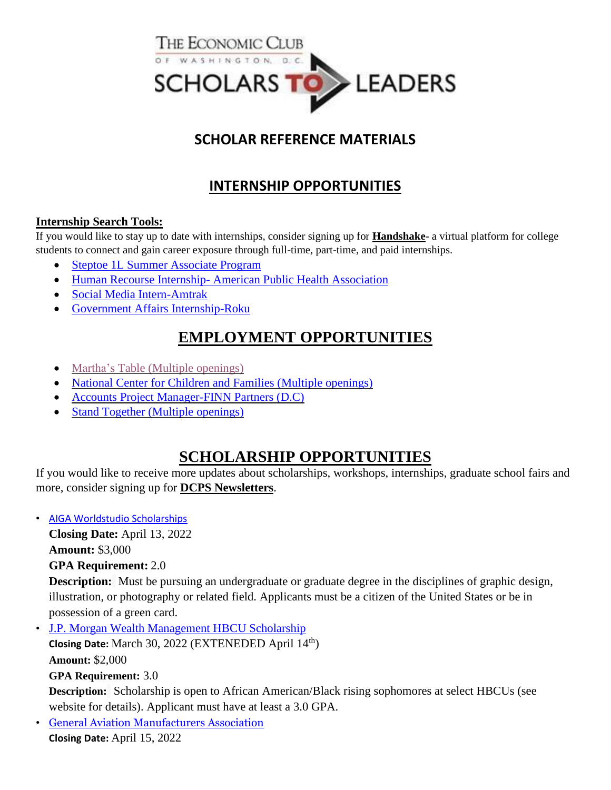

### **SCHOLAR REFERENCE MATERIALS**

## **INTERNSHIP OPPORTUNITIES**

#### **Internship Search Tools:**

If you would like to stay up to date with internships, consider signing up for **[Handshake](https://www.joinhandshake.com/)**- a virtual platform for college students to connect and gain career exposure through full-time, part-time, and paid internships.

- [Steptoe 1L Summer Associate Program](https://steptoeapply.viglobalcloud.com/viRecruitSelfApply/ReApplicantEmail.aspx?Tag=5755afa8-1555-46cf-bb02-2563e6a955f4)
- Human Recourse Internship- [American Public Health Association](https://internships-apha.icims.com/jobs/1529/human-resources-internship/login?utm_source=google_jobs_apply&utm_medium=organic&utm_campaign=google_jobs_apply&mobile=false&width=850&height=500&bga=true&needsRedirect=false&jan1offset=-300&jun1offset=-240)
- [Social Media Intern-Amtrak](https://careers.amtrak.com/job/Washington-Summer-2022-Social-Media-Intern-90212028-Washington-DC-20002/838523900/?utm_campaign=google_jobs_apply&utm_source=google_jobs_apply&utm_medium=organic)
- [Government Affairs Internship-Roku](https://www.roku.com/jobs/position/3846348/government-affairs-internship)

## **EMPLOYMENT OPPORTUNITIES**

- Martha's Table (Multiple [openings\)](https://marthastable.org/careers/)
- National Center for Children and Families (Multiple [openings\)](http://nccf-cares.hrmdirect.com/employment/job-openings.php?search=true&)
- Accounts Project [Manager-FINN](https://www.finnpartners.com/job/accounts-project-manager/) Partners (D.C)
- Stand Together (Multiple [openings\)](https://careers.standtogether.org/main/jobs?location=Washington,%20D.C.&woe=7&stretchUnit=MILES&stretch=10&page=1)

## **SCHOLARSHIP OPPORTUNITIES**

If you would like to receive more updates about scholarships, workshops, internships, graduate school fairs and more, consider signing up for **[DCPS Newsletters](https://docs.google.com/forms/d/e/1FAIpQLSf4lKtLYU98u1qtQQIV6e1OgXuU195FZn1GLjqFmsvGpe4umw/viewform)**.

• [AIGA Worldstudio Scholarships](https://www.aiga.org/professional-development/aiga-worldstudio-scholarships/aiga-worldstudio-application-guide)

**Closing Date:** April 13, 2022

**Amount:** \$3,000

**GPA Requirement:** 2.0

**Description:** Must be pursuing an undergraduate or graduate degree in the disciplines of graphic design, illustration, or photography or related field. Applicants must be a citizen of the United States or be in possession of a green card.

• [J.P. Morgan Wealth Management HBCU Scholarship](https://scholarships.uncf.org/Program/Details/ba43d40a-2d2b-4929-82f7-88ee70a00610) **Closing Date:** March 30, 2022 (EXTENEDED April 14th) **Amount:** \$2,000

#### **GPA Requirement:** 3.0

**Description:** Scholarship is open to African American/Black rising sophomores at select HBCUs (see website for details). Applicant must have at least a 3.0 GPA.

• [General Aviation Manufacturers Association](https://gama.aero/opportunities-in-ga/scholarships/) **Closing Date:** April 15, 2022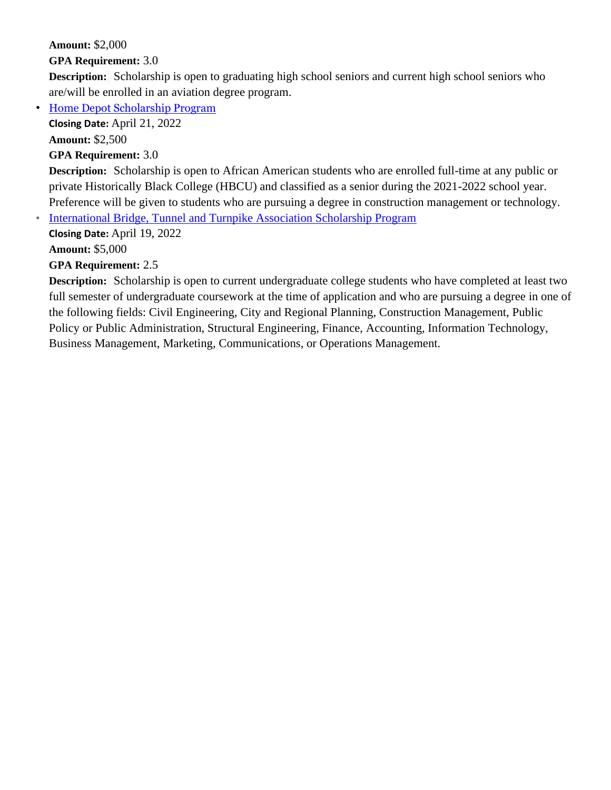**Amount:** \$2,000

**GPA Requirement:** 3.0

**Description:** Scholarship is open to graduating high school seniors and current high school seniors who are/will be enrolled in an aviation degree program.

• [Home Depot Scholarship Program](https://scholarships.uncf.org/Program/Details/d181c6ea-9bc8-4ba7-9b7a-260f67e1ce4b)

**Closing Date:** April 21, 2022

**Amount:** \$2,500

**GPA Requirement:** 3.0

**Description:** Scholarship is open to African American students who are enrolled full-time at any public or private Historically Black College (HBCU) and classified as a senior during the 2021-2022 school year. Preference will be given to students who are pursuing a degree in constructi[on m](https://t.e2ma.net/click/t5t6tg/5mnexd/h8bhkoc)anagement or technology.

• [I](https://learnmore.scholarsapply.org/ibtta/)[nternational Bridge, Tunnel and Turnpike Association Scholarship Program](https://learnmore.scholarsapply.org/ibtta/)

**Closing Date:** April 19, 2022 **Amount:** \$5,000

**GPA Requirement:** 2.5

**Description:** Scholarship is open to current undergraduate college students who have completed at least two full semester of undergraduate coursework at the time of application and who are pursuing a degree in one of the following fields: Civil Engineering, City and Regional Planning, Construction Management, Public Policy or Public Administration, Structural Engineering, Finance, Accounting, Information Technology, Business Management, Marketing, Communications, or Operations Management.